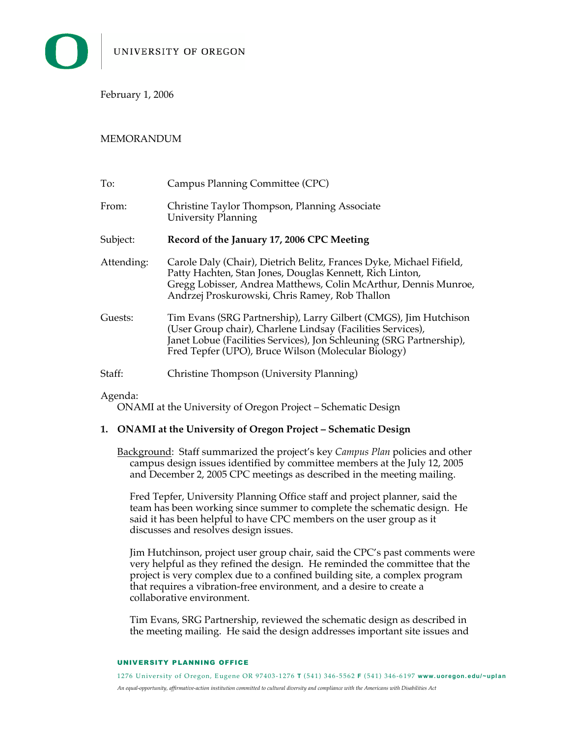February 1, 2006

## MEMORANDUM

| To:        | Campus Planning Committee (CPC)                                                                                                                                                                                                                                |
|------------|----------------------------------------------------------------------------------------------------------------------------------------------------------------------------------------------------------------------------------------------------------------|
| From:      | Christine Taylor Thompson, Planning Associate<br><b>University Planning</b>                                                                                                                                                                                    |
| Subject:   | Record of the January 17, 2006 CPC Meeting                                                                                                                                                                                                                     |
| Attending: | Carole Daly (Chair), Dietrich Belitz, Frances Dyke, Michael Fifield,<br>Patty Hachten, Stan Jones, Douglas Kennett, Rich Linton,<br>Gregg Lobisser, Andrea Matthews, Colin McArthur, Dennis Munroe,<br>Andrzej Proskurowski, Chris Ramey, Rob Thallon          |
| Guests:    | Tim Evans (SRG Partnership), Larry Gilbert (CMGS), Jim Hutchison<br>(User Group chair), Charlene Lindsay (Facilities Services),<br>Janet Lobue (Facilities Services), Jon Schleuning (SRG Partnership),<br>Fred Tepfer (UPO), Bruce Wilson (Molecular Biology) |
| Staff:     | Christine Thompson (University Planning)                                                                                                                                                                                                                       |

## Agenda:

ONAMI at the University of Oregon Project – Schematic Design

## **1. ONAMI at the University of Oregon Project – Schematic Design**

Background: Staff summarized the project's key *Campus Plan* policies and other campus design issues identified by committee members at the July 12, 2005 and December 2, 2005 CPC meetings as described in the meeting mailing.

Fred Tepfer, University Planning Office staff and project planner, said the team has been working since summer to complete the schematic design. He said it has been helpful to have CPC members on the user group as it discusses and resolves design issues.

Jim Hutchinson, project user group chair, said the CPC's past comments were very helpful as they refined the design. He reminded the committee that the project is very complex due to a confined building site, a complex program that requires a vibration-free environment, and a desire to create a collaborative environment.

Tim Evans, SRG Partnership, reviewed the schematic design as described in the meeting mailing. He said the design addresses important site issues and

## UNIVERSITY PLANNING OFFICE

1276 Univers ity of Oregon, Eugene OR 97403-1 276 **T** (54 1) 346-5 562 **F** (54 1) 346-6 197 **www. uoregon. edu/~upl an** *An equal-opportunity, affirmative-action institution committed to cultural diversity and compliance with the Americans with Disabilities Act*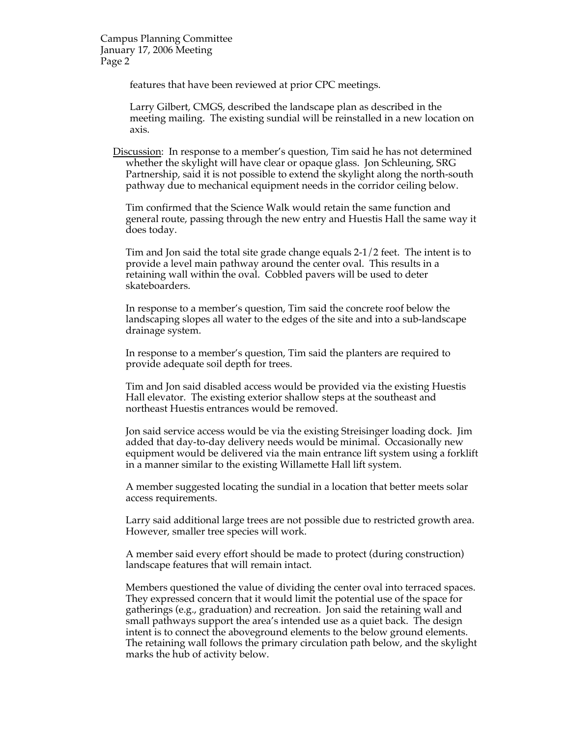Campus Planning Committee January 17, 2006 Meeting Page 2

features that have been reviewed at prior CPC meetings.

Larry Gilbert, CMGS, described the landscape plan as described in the meeting mailing. The existing sundial will be reinstalled in a new location on axis.

Discussion: In response to a member's question, Tim said he has not determined whether the skylight will have clear or opaque glass. Jon Schleuning, SRG Partnership, said it is not possible to extend the skylight along the north-south pathway due to mechanical equipment needs in the corridor ceiling below.

Tim confirmed that the Science Walk would retain the same function and general route, passing through the new entry and Huestis Hall the same way it does today.

Tim and Jon said the total site grade change equals 2-1/2 feet. The intent is to provide a level main pathway around the center oval. This results in a retaining wall within the oval. Cobbled pavers will be used to deter skateboarders.

In response to a member's question, Tim said the concrete roof below the landscaping slopes all water to the edges of the site and into a sub-landscape drainage system.

In response to a member's question, Tim said the planters are required to provide adequate soil depth for trees.

Tim and Jon said disabled access would be provided via the existing Huestis Hall elevator. The existing exterior shallow steps at the southeast and northeast Huestis entrances would be removed.

Jon said service access would be via the existing Streisinger loading dock. Jim added that day-to-day delivery needs would be minimal. Occasionally new equipment would be delivered via the main entrance lift system using a forklift in a manner similar to the existing Willamette Hall lift system.

A member suggested locating the sundial in a location that better meets solar access requirements.

Larry said additional large trees are not possible due to restricted growth area. However, smaller tree species will work.

A member said every effort should be made to protect (during construction) landscape features that will remain intact.

Members questioned the value of dividing the center oval into terraced spaces. They expressed concern that it would limit the potential use of the space for gatherings (e.g., graduation) and recreation. Jon said the retaining wall and small pathways support the area's intended use as a quiet back. The design intent is to connect the aboveground elements to the below ground elements. The retaining wall follows the primary circulation path below, and the skylight marks the hub of activity below.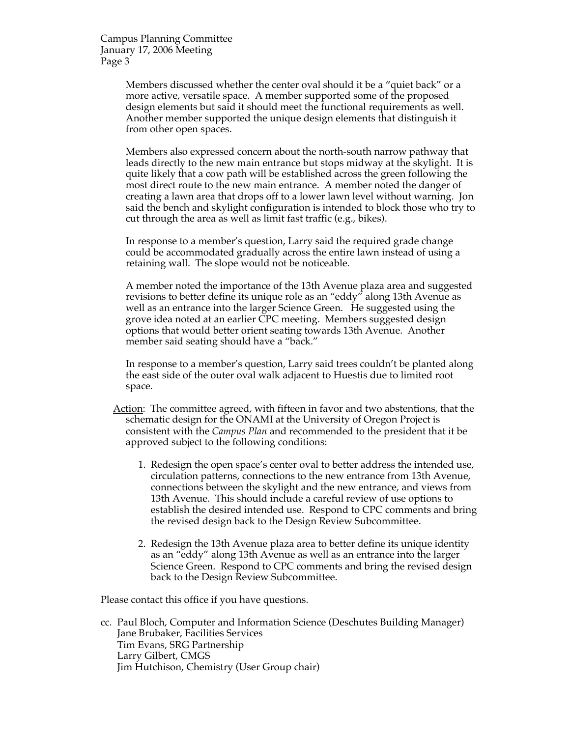Campus Planning Committee January 17, 2006 Meeting Page 3

> Members discussed whether the center oval should it be a "quiet back" or a more active, versatile space. A member supported some of the proposed design elements but said it should meet the functional requirements as well. Another member supported the unique design elements that distinguish it from other open spaces.

Members also expressed concern about the north-south narrow pathway that leads directly to the new main entrance but stops midway at the skylight. It is quite likely that a cow path will be established across the green following the most direct route to the new main entrance. A member noted the danger of creating a lawn area that drops off to a lower lawn level without warning. Jon said the bench and skylight configuration is intended to block those who try to cut through the area as well as limit fast traffic (e.g., bikes).

In response to a member's question, Larry said the required grade change could be accommodated gradually across the entire lawn instead of using a retaining wall. The slope would not be noticeable.

A member noted the importance of the 13th Avenue plaza area and suggested revisions to better define its unique role as an "eddy" along 13th Avenue as well as an entrance into the larger Science Green. He suggested using the grove idea noted at an earlier CPC meeting. Members suggested design options that would better orient seating towards 13th Avenue. Another member said seating should have a "back."

In response to a member's question, Larry said trees couldn't be planted along the east side of the outer oval walk adjacent to Huestis due to limited root space.

- Action: The committee agreed, with fifteen in favor and two abstentions, that the schematic design for the ONAMI at the University of Oregon Project is consistent with the *Campus Plan* and recommended to the president that it be approved subject to the following conditions:
	- 1. Redesign the open space's center oval to better address the intended use, circulation patterns, connections to the new entrance from 13th Avenue, connections between the skylight and the new entrance, and views from 13th Avenue. This should include a careful review of use options to establish the desired intended use. Respond to CPC comments and bring the revised design back to the Design Review Subcommittee.
	- 2. Redesign the 13th Avenue plaza area to better define its unique identity as an "eddy" along 13th Avenue as well as an entrance into the larger Science Green. Respond to CPC comments and bring the revised design back to the Design Review Subcommittee.

Please contact this office if you have questions.

cc. Paul Bloch, Computer and Information Science (Deschutes Building Manager) Jane Brubaker, Facilities Services Tim Evans, SRG Partnership Larry Gilbert, CMGS Jim Hutchison, Chemistry (User Group chair)